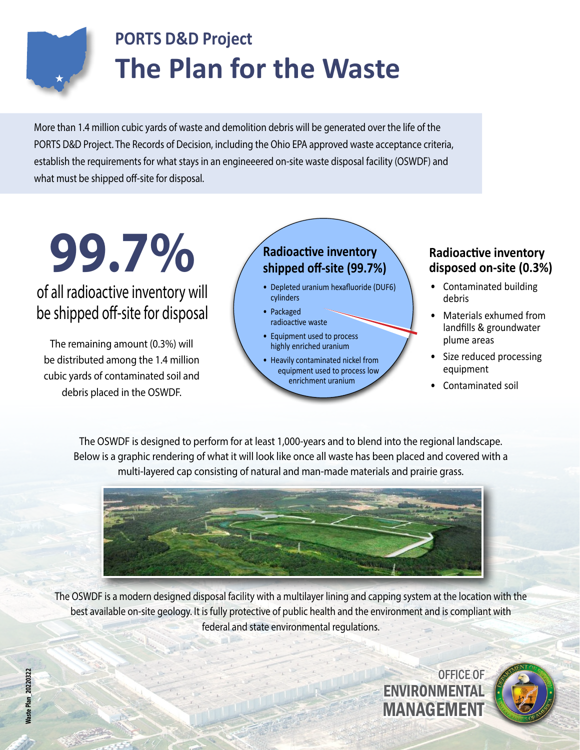

## **PORTS D&D Project The Plan for the Waste**

More than 1.4 million cubic yards of waste and demolition debris will be generated over the life of the PORTS D&D Project. The Records of Decision, including the Ohio EPA approved waste acceptance criteria, establish the requirements for what stays in an engineeered on-site waste disposal facility (OSWDF) and what must be shipped off-site for disposal.

**Radioactive inventory Radioactive inventory Radioactive inventory adioactive inventory disposed on-site (0.3%)** 

### of all radioactive inventory will be shipped off-site for disposal

The remaining amount (0.3%) will be distributed among the 1.4 million cubic yards of contaminated soil and debris placed in the OSWDF.

### **Radioactive inventory shipped off-site (99.7%)**

- Depleted uranium hexafluoride (DUF6) cylinders
- Packaged radioactive waste
- Equipment used to process highly enriched uranium
- Heavily contaminated nickel from equipment used to process low enrichment uranium

- Contaminated building debris
- Materials exhumed from landfills & groundwater plume areas
- Size reduced processing equipment
- Contaminated soil

The OSWDF is designed to perform for at least 1,000-years and to blend into the regional landscape. Below is a graphic rendering of what it will look like once all waste has been placed and covered with a multi-layered cap consisting of natural and man-made materials and prairie grass.



The OSWDF is a modern designed disposal facility with a multilayer lining and capping system at the location with the best available on-site geology. It is fully protective of public health and the environment and is compliant with federal and state environmental regulations.